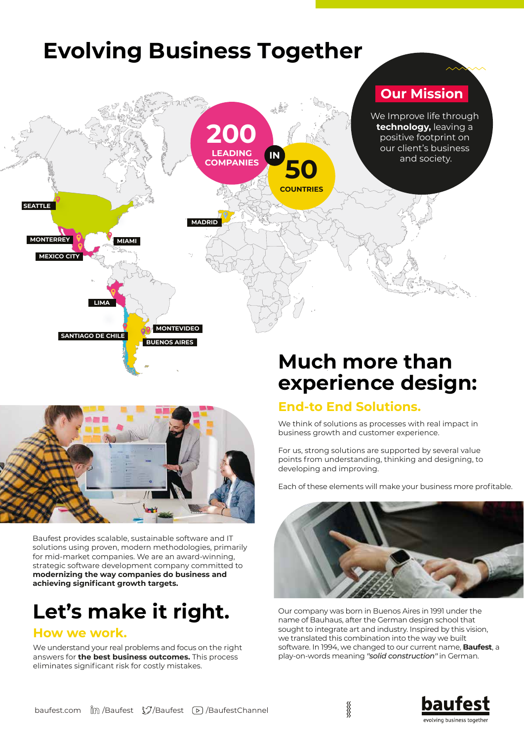



Baufest provides scalable, sustainable software and IT solutions using proven, modern methodologies, primarily for mid-market companies. We are an award-winning, strategic software development company committed to **modernizing the way companies do business and**  achieving significant growth targets.

# **Let's make it right.**

### **How we work.**

We understand your real problems and focus on the right answers for **the best business outcomes.** This process eliminates significant risk for costly mistakes.

# **experience design:**

### **End-to End Solutions.**

We think of solutions as processes with real impact in business growth and customer experience.

For us, strong solutions are supported by several value points from understanding, thinking and designing, to developing and improving.

Each of these elements will make your business more profitable.



Our company was born in Buenos Aires in 1991 under the name of Bauhaus, after the German design school that sought to integrate art and industry. Inspired by this vision, we translated this combination into the way we built software. In 1994, we changed to our current name, **Baufest**, a play-on-words meaning *''solid construction''* in German.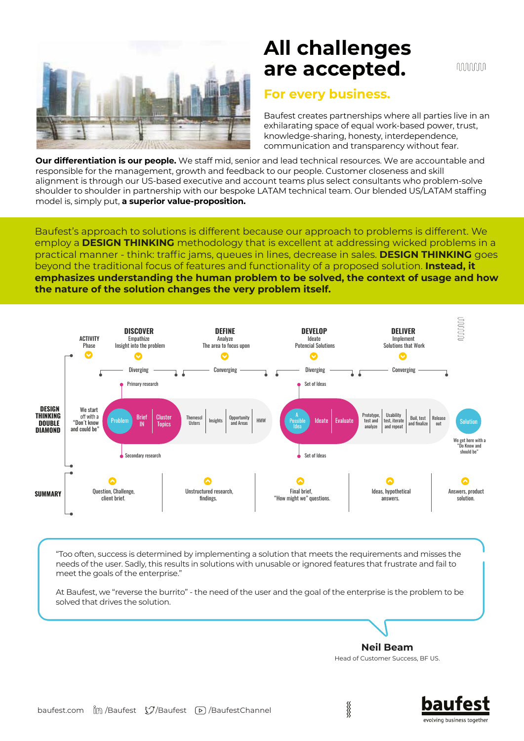

# **All challenges are accepted.**

nnnnnn

### **For every business.**

Baufest creates partnerships where all parties live in an exhilarating space of equal work-based power, trust, knowledge-sharing, honesty, interdependence, communication and transparency without fear.

**Our differentiation is our people.** We staff mid, senior and lead technical resources. We are accountable and responsible for the management, growth and feedback to our people. Customer closeness and skill alignment is through our US-based executive and account teams plus select consultants who problem-solve shoulder to shoulder in partnership with our bespoke LATAM technical team. Our blended US/LATAM staffing model is, simply put, **a superior value-proposition.**

Baufest's approach to solutions is different because our approach to problems is different. We employ a **DESIGN THINKING** methodology that is excellent at addressing wicked problems in a practical manner - think: traffic jams, queues in lines, decrease in sales. **DESIGN THINKING** goes beyond the traditional focus of features and functionality of a proposed solution. **Instead, it emphasizes understanding the human problem to be solved, the context of usage and how the nature of the solution changes the very problem itself.** 



"Too often, success is determined by implementing a solution that meets the requirements and misses the needs of the user. Sadly, this results in solutions with unusable or ignored features that frustrate and fail to meet the goals of the enterprise."

At Baufest, we "reverse the burrito" - the need of the user and the goal of the enterprise is the problem to be solved that drives the solution.

**Neil Beam** Head of Customer Success, BF US.